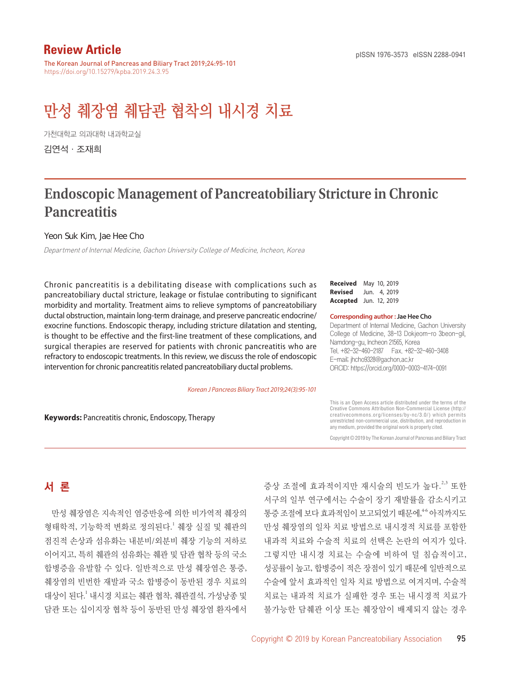# **Review Article**

The Korean Journal of Pancreas and Biliary Tract 2019;24:95-101 https://doi.org/10.15279/kpba.2019.24.3.95

# 만성 췌장염 췌담관 협착의 내시경 치료

가천대학교 의과대학 내과학교실 김연석·조재희

# **Endoscopic Management of Pancreatobiliary Stricture in Chronic Pancreatitis**

Yeon Suk Kim, Jae Hee Cho

Department of Internal Medicine, Gachon University College of Medicine, Incheon, Korea

Chronic pancreatitis is a debilitating disease with complications such as pancreatobiliary ductal stricture, leakage or fistulae contributing to significant morbidity and mortality. Treatment aims to relieve symptoms of pancreatobiliary ductal obstruction, maintain long-term drainage, and preserve pancreatic endocrine/ exocrine functions. Endoscopic therapy, including stricture dilatation and stenting, is thought to be effective and the first-line treatment of these complications, and surgical therapies are reserved for patients with chronic pancreatitis who are refractory to endoscopic treatments. In this review, we discuss the role of endoscopic intervention for chronic pancreatitis related pancreatobiliary ductal problems.

*Korean J Pancreas Biliary Tract 2019;24(3):95-101*

**Keywords:** Pancreatitis chronic, Endoscopy, Therapy

**Received** May 10, 2019 **Revised** Jun. 4, 2019 **Accepted** Jun. 12, 2019

**Corresponding author : Jae Hee Cho**

Department of Internal Medicine, Gachon University College of Medicine, 38-13 Dokjeom-ro 3beon-gil, Namdong-gu, Incheon 21565, Korea Tel. +82-32-460-2187 Fax. +82-32-460-3408 E-mail; jhcho9328@gachon.ac.kr ORCID: https://orcid.org/0000-0003-4174-0091

This is an Open Access article distributed under the terms of the Creative Commons Attribution Non-Commercial License (http:// creativecommons.org/licenses/by-nc/3.0/) which permits unrestricted non-commercial use, distribution, and reproduction in any medium, provided the original work is properly cited.

Copyright © 2019 by The Korean Journal of Pancreas and Biliary Tract

# 서 론

만성 췌장염은 지속적인 염증반응에 의한 비가역적 췌장의 형태학적, 기능학적 변화로 정의된다. <sup>1</sup> 췌장 실질 및 췌관의 점진적 손상과 섬유화는 내분비/외분비 췌장 기능의 저하로 이어지고, 특히 췌관의 섬유화는 췌관 및 담관 협착 등의 국소 합병증을 유발할 수 있다. 일반적으로 만성 췌장염은 통증, 췌장염의 빈번한 재발과 국소 합병증이 동반된 경우 치료의 대상이 된다. <sup>1</sup> 내시경 치료는 췌관 협착, 췌관결석, 가성낭종 및 담관 또는 십이지장 협착 등이 동반된 만성 췌장염 환자에서

증상 조절에 효과적이지만 재시술의 빈도가 높다.<sup>2,3</sup> 또한 서구의 일부 연구에서는 수술이 장기 재발률을 감소시키고 통증 조절에 보다 효과적임이 보고되었기 때문에,<sup>46</sup> 아직까지도 만성 췌장염의 일차 치료 방법으로 내시경적 치료를 포함한 내과적 치료와 수술적 치료의 선택은 논란의 여지가 있다. 그렇지만 내시경 치료는 수술에 비하여 덜 침습적이고, 성공률이 높고, 합병증이 적은 장점이 있기 때문에 일반적으로 수술에 앞서 효과적인 일차 치료 방법으로 여겨지며, 수술적 치료는 내과적 치료가 실패한 경우 또는 내시경적 치료가 불가능한 담췌관 이상 또는 췌장암이 배제되지 않는 경우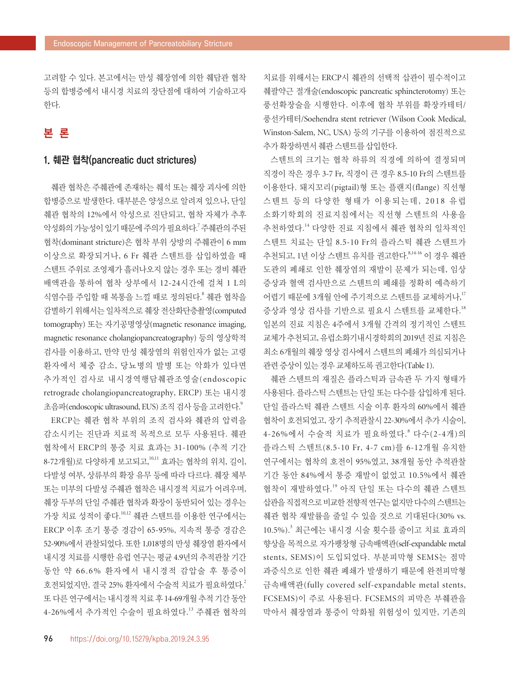고려할 수 있다. 본고에서는 만성 췌장염에 의한 췌담관 협착 등의 합병증에서 내시경 치료의 장단점에 대하여 기술하고자 한다.

## 본 론

#### 1. 췌관 협착(pancreatic duct strictures)

췌관 협착은 주췌관에 존재하는 췌석 또는 췌장 괴사에 의한 합병증으로 발생한다. 대부분은 양성으로 알려져 있으나, 단일 췌관 협착의 12%에서 악성으로 진단되고, 협착 자체가 추후 악성화의 가능성이 있기 때문에 주의가 필요하다.<sup>7</sup> 주췌관의 주된 협착(dominant stricture)은 협착 부위 상방의 주췌관이 6 mm 이상으로 확장되거나, 6 Fr 췌관 스텐트를 삽입하였을 때 스텐트 주위로 조영제가 흘러나오지 않는 경우 또는 경비 췌관 배액관을 통하여 협착 상부에서 12-24시간에 걸쳐 1 L의 식염수를 주입할 때 복통을 느낄 때로 정의된다. <sup>8</sup> 췌관 협착을 감별하기 위해서는 일차적으로 췌장 전산화단층촬영(computed tomography) 또는 자기공명영상(magnetic resonance imaging, magnetic resonance cholangiopancreatography) 등의 영상학적 검사를 이용하고, 만약 만성 췌장염의 위험인자가 없는 고령 환자에서 체중 감소, 당뇨병의 발병 또는 악화가 있다면 추가적인 검사로 내시경역행담췌관조영술(endoscopic retrograde cholangiopancreatography, ERCP) 또는 내시경 초음파(endoscopic ultrasound, EUS) 조직 검사 등을 고려한다. 9

ERCP는 췌관 협착 부위의 조직 검사와 췌관의 압력을 감소시키는 진단과 치료적 목적으로 모두 사용된다. 췌관 협착에서 ERCP의 통증 치료 효과는 31-100% (추적 기간 8-72개월)로 다양하게 보고되고, 10,11 효과는 협착의 위치, 길이, 다발성 여부, 상류부의 확장 유무 등에 따라 다르다. 췌장 체부 또는 미부의 다발성 주췌관 협착은 내시경적 치료가 어려우며, 췌장 두부의 단일 주췌관 협착과 확장이 동반되어 있는 경우는 가장 치료 성적이 좋다.<sup>10,12</sup> 췌관 스텐트를 이용한 연구에서는 ERCP 이후 조기 통증 경감이 65-95%, 지속적 통증 경감은 52-90%에서 관찰되었다. 또한 1,018명의 만성 췌장염 환자에서 내시경 치료를 시행한 유럽 연구는 평균 4.9년의 추적관찰 기간 동안 약 66.6% 환자에서 내시경적 감압술 후 통증이 호전되었지만, 결국 25% 환자에서 수술적 치료가 필요하였다. 2 또 다른 연구에서는 내시경적 치료 후 14-69개월 추적 기간 동안 4-26%에서 추가적인 수술이 필요하였다. <sup>13</sup> 주췌관 협착의

치료를 위해서는 ERCP시 췌관의 선택적 삽관이 필수적이고 췌괄약근 절개술(endoscopic pancreatic sphincterotomy) 또는 풍선확장술을 시행한다. 이후에 협착 부위를 확장카테터/ 풍선카테터/Soehendra stent retriever (Wilson Cook Medical, Winston-Salem, NC, USA) 등의 기구를 이용하여 점진적으로 추가 확장하면서 췌관 스텐트를 삽입한다.

스텐트의 크기는 협착 하류의 직경에 의하여 결정되며 직경이 작은 경우 3-7 Fr, 직경이 큰 경우 8.5-10 Fr의 스텐트를 이용한다. 돼지꼬리(pigtail)형 또는 플랜지(flange) 직선형 스텐트 등의 다양한 형태가 이용되는데, 2018 유럽 소화기학회의 진료지침에서는 직선형 스텐트의 사용을 추천하였다. <sup>14</sup> 다양한 진료 지침에서 췌관 협착의 일차적인 스텐트 치료는 단일 8.5-10 Fr의 플라스틱 췌관 스텐트가 추천되고, 1년 이상 스텐트 유치를 권고한다. 8,14-16 이 경우 췌관 도관의 폐쇄로 인한 췌장염의 재발이 문제가 되는데, 임상 증상과 혈액 검사만으로 스텐트의 폐쇄를 정확히 예측하기 어렵기 때문에 3개월 안에 주기적으로 스텐트를 교체하거나, 17 증상과 영상 검사를 기반으로 필요시 스텐트를 교체한다. 18 일본의 진료 지침은 4주에서 3개월 간격의 정기적인 스텐트 교체가 추천되고, 유럽소화기내시경학회의 2019년 진료 지침은 최소 6개월의 췌장 영상 검사에서 스텐트의 폐쇄가 의심되거나 관련 증상이 있는 경우 교체하도록 권고한다(Table 1).

췌관 스텐트의 재질은 플라스틱과 금속관 두 가지 형태가 사용된다. 플라스틱 스텐트는 단일 또는 다수를 삽입하게 된다. 단일 플라스틱 췌관 스텐트 시술 이후 환자의 60%에서 췌관 협착이 호전되었고, 장기 추적관찰시 22-30%에서 추가 시술이, 4-26%에서 수술적 치료가 필요하였다. <sup>8</sup> 다수(2-4개)의 플라스틱 스텐트(8.5-10 Fr, 4-7 cm)를 6-12개월 유치한 연구에서는 협착의 호전이 95%였고, 38개월 동안 추적관찰 기간 동안 84%에서 통증 재발이 없었고 10.5%에서 췌관 협착이 재발하였다. <sup>19</sup> 아직 단일 또는 다수의 췌관 스텐트 삽관을직접적으로비교한전향적연구는없지만다수의스텐트는 췌관 협착 재발률을 줄일 수 있을 것으로 기대된다(30% vs.  $10.5\%$ ). $3$  최근에는 내시경 시술 횟수를 줄이고 치료 효과의 향상을 목적으로 자가팽창형 금속배액관(self-expandable metal stents, SEMS)이 도입되었다. 부분피막형 SEMS는 점막 과증식으로 인한 췌관 폐쇄가 발생하기 때문에 완전피막형 금속배액관(fully covered self-expandable metal stents, FCSEMS)이 주로 사용된다. FCSEMS의 피막은 부췌관을 막아서 췌장염과 통증이 악화될 위험성이 있지만, 기존의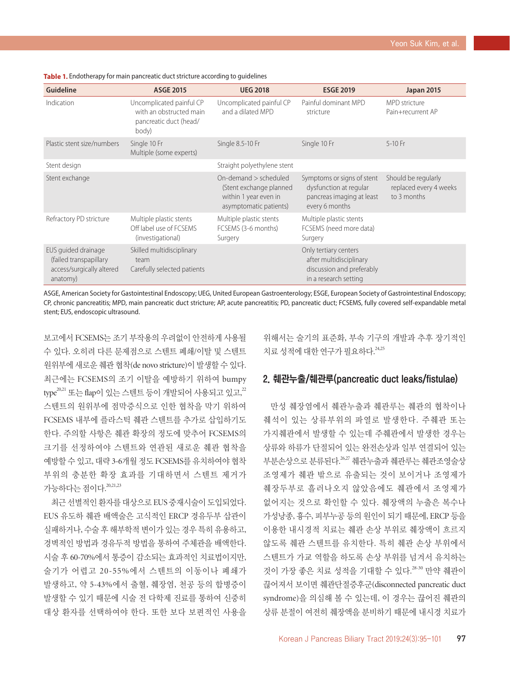| <b>Guideline</b>                                                                       | <b>ASGE 2015</b>                                                                       | <b>UEG 2018</b>                                                                                       | <b>ESGE 2019</b>                                                                                       | <b>Japan 2015</b>                                            |
|----------------------------------------------------------------------------------------|----------------------------------------------------------------------------------------|-------------------------------------------------------------------------------------------------------|--------------------------------------------------------------------------------------------------------|--------------------------------------------------------------|
| Indication                                                                             | Uncomplicated painful CP<br>with an obstructed main<br>pancreatic duct (head/<br>body) | Uncomplicated painful CP<br>and a dilated MPD                                                         | Painful dominant MPD<br>stricture                                                                      | MPD stricture<br>Pain+recurrent AP                           |
| Plastic stent size/numbers                                                             | Single 10 Fr<br>Multiple (some experts)                                                | Single 8.5-10 Fr                                                                                      | Single 10 Fr                                                                                           | 5-10 Fr                                                      |
| Stent design                                                                           |                                                                                        | Straight polyethylene stent                                                                           |                                                                                                        |                                                              |
| Stent exchange                                                                         |                                                                                        | On-demand $>$ scheduled<br>(Stent exchange planned<br>within 1 year even in<br>asymptomatic patients) | Symptoms or signs of stent<br>dysfunction at regular<br>pancreas imaging at least<br>every 6 months    | Should be regularly<br>replaced every 4 weeks<br>to 3 months |
| Refractory PD stricture                                                                | Multiple plastic stents<br>Off label use of FCSEMS<br>(investigational)                | Multiple plastic stents<br>FCSEMS (3-6 months)<br>Surgery                                             | Multiple plastic stents<br>FCSEMS (need more data)<br>Surgery                                          |                                                              |
| EUS quided drainage<br>(failed transpapillary<br>access/surgically altered<br>anatomy) | Skilled multidisciplinary<br>team<br>Carefully selected patients                       |                                                                                                       | Only tertiary centers<br>after multidisciplinary<br>discussion and preferably<br>in a research setting |                                                              |

**Table 1.** Endotherapy for main pancreatic duct stricture according to guidelines

ASGE, American Society for Gastointestinal Endoscopy; UEG, United European Gastroenterology; ESGE, European Society of Gastrointestinal Endoscopy; CP, chronic pancreatitis; MPD, main pancreatic duct stricture; AP, acute pancreatitis; PD, pancreatic duct; FCSEMS, fully covered self-expandable metal stent; EUS, endoscopic ultrasound.

보고에서 FCSEMS는 조기 부작용의 우려없이 안전하게 사용될 수 있다. 오히려 다른 문제점으로 스텐트 폐쇄/이탈 및 스텐트 원위부에 새로운 췌관 협착(de novo stricture)이 발생할 수 있다. 최근에는 FCSEMS의 조기 이탈을 예방하기 위하여 bumpy type<sup>20,21</sup> 또는 flap이 있는 스텐트 등이 개발되어 사용되고 있고,<sup>22</sup> 스텐트의 원위부에 점막증식으로 인한 협착을 막기 위하여 FCSEMS 내부에 플라스틱 췌관 스텐트를 추가로 삽입하기도 한다. 주의할 사항은 췌관 확장의 정도에 맞추어 FCSEMS의 크기를 선정하여야 스텐트와 연관된 새로운 췌관 협착을 예방할 수 있고, 대략 3-6개월 정도 FCSEMS를 유치하여야 협착 부위의 충분한 확장 효과를 기대하면서 스텐트 제거가 가능하다는 점이다. 20,21,23

최근 선별적인 환자를 대상으로 EUS 중재시술이 도입되었다. EUS 유도하 췌관 배액술은 고식적인 ERCP 경유두부 삽관이 실패하거나, 수술 후 해부학적 변이가 있는 경우 특히 유용하고, 경벽적인 방법과 경유두적 방법을 통하여 주체관을 배액한다. 시술 후 60-70%에서 통증이 감소되는 효과적인 치료법이지만, 술기가 어렵고 20-55%에서 스텐트의 이동이나 폐쇄가 발생하고, 약 5-43%에서 출혈, 췌장염, 천공 등의 합병증이 발생할 수 있기 때문에 시술 전 다학제 진료를 통하여 신중히 대상 환자를 선택하여야 한다. 또한 보다 보편적인 사용을 위해서는 술기의 표준화, 부속 기구의 개발과 추후 장기적인 치료 성적에 대한 연구가 필요하다.  $^{24,25}$ 

#### 2. 췌관누출/췌관루(pancreatic duct leaks/fistulae)

만성 췌장염에서 췌관누출과 췌관루는 췌관의 협착이나 췌석이 있는 상류부위의 파열로 발생한다. 주췌관 또는 가지췌관에서 발생할 수 있는데 주췌관에서 발생한 경우는 상류와 하류가 단절되어 있는 완전손상과 일부 연결되어 있는 부분손상으로 분류된다.<sup>26,27</sup> 췌관누출과 췌관루는 췌관조영술상 조영제가 췌관 밖으로 유출되는 것이 보이거나 조영제가 췌장두부로 흘러나오지 않았음에도 췌관에서 조영제가 없어지는 것으로 확인할 수 있다. 췌장액의 누출은 복수나 가성낭종, 흉수, 피부누공 등의 원인이 되기 때문에, ERCP 등을 이용한 내시경적 치료는 췌관 손상 부위로 췌장액이 흐르지 않도록 췌관 스텐트를 유치한다. 특히 췌관 손상 부위에서 스텐트가 가교 역할을 하도록 손상 부위를 넘겨서 유치하는 것이 가장 좋은 치료 성적을 기대할 수 있다. 28-30 만약 췌관이 끊어져서 보이면 췌관단절증후군(disconnected pancreatic duct syndrome)을 의심해 볼 수 있는데, 이 경우는 끊어진 췌관의 상류 분절이 여전히 췌장액을 분비하기 때문에 내시경 치료가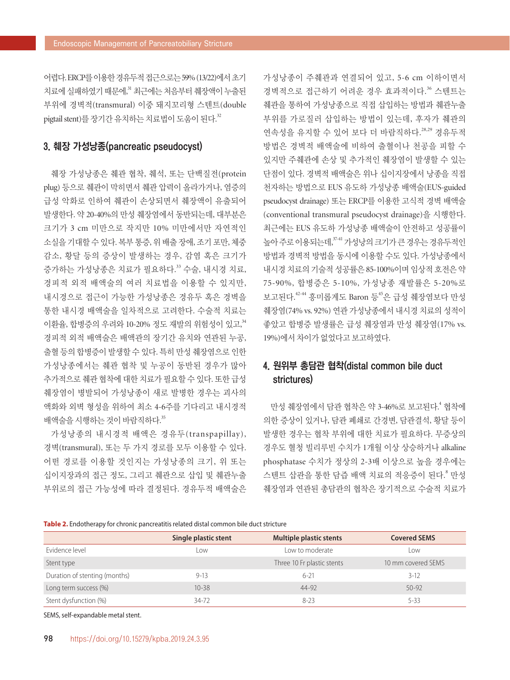어렵다. ERCP를 이용한 경유두적 접근으로는 59% (13/22)에서 초기 치료에 실패하였기 때문에," 최근에는 처음부터 췌장액이 누출된 부위에 경벽적(transmural) 이중 돼지꼬리형 스텐트(double pigtail stent)를 장기간 유치하는 치료법이 도움이 된다.<sup>32</sup>

#### 3. 췌장 가성낭종(pancreatic pseudocyst)

췌장 가성낭종은 췌관 협착, 췌석, 또는 단백질전(protein plug) 등으로 췌관이 막히면서 췌관 압력이 올라가거나, 염증의 급성 악화로 인하여 췌관이 손상되면서 췌장액이 유출되어 발생한다. 약 20-40%의 만성 췌장염에서 동반되는데, 대부분은 크기가 3 cm 미만으로 작지만 10% 미만에서만 자연적인 소실을 기대할 수 있다. 복부 통증, 위 배출 장애, 조기 포만, 체중 감소, 황달 등의 증상이 발생하는 경우, 감염 혹은 크기가 증가하는 가성낭종은 치료가 필요하다. <sup>33</sup> 수술, 내시경 치료, 경피적 외적 배액술의 여러 치료법을 이용할 수 있지만, 내시경으로 접근이 가능한 가성낭종은 경유두 혹은 경벽을 통한 내시경 배액술을 일차적으로 고려한다. 수술적 치료는 이환율, 합병증의 우려와 10-20% 정도 재발의 위험성이 있고, 34 경피적 외적 배액술은 배액관의 장기간 유치와 연관된 누공, 출혈 등의 합병증이 발생할 수 있다. 특히 만성 췌장염으로 인한 가성낭종에서는 췌관 협착 및 누공이 동반된 경우가 많아 추가적으로 췌관 협착에 대한 치료가 필요할 수 있다. 또한 급성 췌장염이 병발되어 가성낭종이 새로 발병한 경우는 괴사의 액화와 외벽 형성을 위하여 최소 4-6주를 기다리고 내시경적 배액술을 시행하는 것이 바람직하다. 35

가성낭종의 내시경적 배액은 경유두(transpapillay), 경벽(transmural), 또는 두 가지 경로를 모두 이용할 수 있다. 어떤 경로를 이용할 것인지는 가성낭종의 크기, 위 또는 십이지장과의 접근 정도, 그리고 췌관으로 삽입 및 췌관누출 부위로의 접근 가능성에 따라 결정된다. 경유두적 배액술은 가성낭종이 주췌관과 연결되어 있고, 5-6 cm 이하이면서 경벽적으로 접근하기 어려운 경우 효과적이다. <sup>36</sup> 스텐트는 췌관을 통하여 가성낭종으로 직접 삽입하는 방법과 췌관누출 부위를 가로질러 삽입하는 방법이 있는데, 후자가 췌관의 연속성을 유지할 수 있어 보다 더 바람직하다. 28,29 경유두적 방법은 경벽적 배액술에 비하여 출혈이나 천공을 피할 수 있지만 주췌관에 손상 및 추가적인 췌장염이 발생할 수 있는 단점이 있다. 경벽적 배액술은 위나 십이지장에서 낭종을 직접 천자하는 방법으로 EUS 유도하 가성낭종 배액술(EUS-guided pseudocyst drainage) 또는 ERCP를 이용한 고식적 경벽 배액술 (conventional transmural pseudocyst drainage)을 시행한다. 최근에는 EUS 유도하 가성낭종 배액술이 안전하고 성공률이 높아주로 이용되는데,<sup>3741</sup> 가성낭의 크기가 큰 경우는 경유두적인 방법과 경벽적 방법을 동시에 이용할 수도 있다. 가성낭종에서 내시경 치료의 기술적 성공률은 85-100%이며 임상적 호전은 약 75-90%, 합병증은 5-10%, 가성낭종 재발률은 5-20%로 보고된다.<sup>42-44</sup> 흥미롭게도 Baron 등<sup>45</sup>은 급성 췌장염보다 만성 췌장염(74% vs. 92%) 연관 가성낭종에서 내시경 치료의 성적이 좋았고 합병증 발생률은 급성 췌장염과 만성 췌장염(17% vs. 19%)에서 차이가 없었다고 보고하였다.

### 4. 원위부 총담관 협착(distal common bile duct strictures)

만성 췌장염에서 담관 협착은 약 3-46%로 보고된다. <sup>4</sup> 협착에 의한 증상이 있거나, 담관 폐쇄로 간경변, 담관결석, 황달 등이 발생한 경우는 협착 부위에 대한 치료가 필요하다. 무증상의 경우도 혈청 빌리루빈 수치가 1개월 이상 상승하거나 alkaline phosphatase 수치가 정상의 2-3배 이상으로 높을 경우에는 스텐트 삽관을 통한 담즙 배액 치료의 적응증이 된다. <sup>8</sup> 만성 췌장염과 연관된 총담관의 협착은 장기적으로 수술적 치료가

#### **Table 2.** Endotherapy for chronic pancreatitis related distal common bile duct stricture

|                               | Single plastic stent | Multiple plastic stents    | <b>Covered SEMS</b> |
|-------------------------------|----------------------|----------------------------|---------------------|
| Evidence level                | Low                  | Low to moderate            | ∟0W                 |
| Stent type                    |                      | Three 10 Fr plastic stents | 10 mm covered SEMS  |
| Duration of stenting (months) | $9 - 13$             | $6 - 21$                   | $3-12$              |
| Long term success (%)         | $10 - 38$            | 44-92                      | $50 - 92$           |
| Stent dysfunction (%)         | 34-72                | $8 - 23$                   | $5 - 33$            |

SEMS, self-expandable metal stent.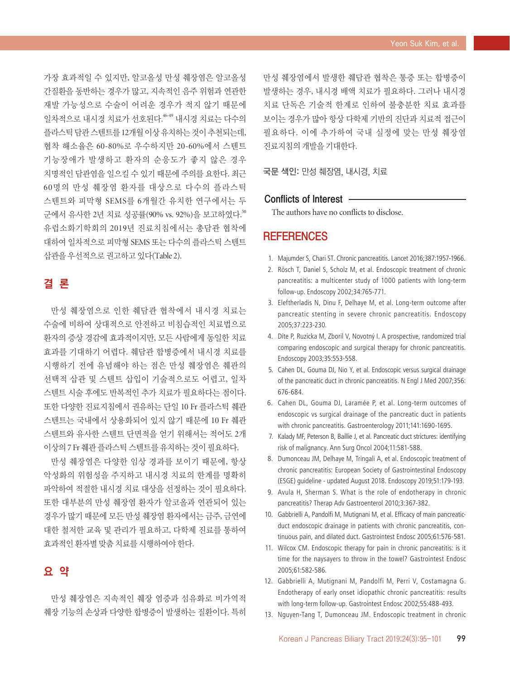가장 효과적일 수 있지만, 알코올성 만성 췌장염은 알코올성 간질환을 동반하는 경우가 많고, 지속적인 음주 위험과 연관한 재발 가능성으로 수술이 어려운 경우가 적지 않기 때문에 일차적으로 내시경 치료가 선호된다. 46-49 내시경 치료는 다수의 플라스틱담관스텐트를 12개월이상유치하는것이추천되는데, 협착 해소율은 60-80%로 우수하지만 20-60%에서 스텐트 기능장애가 발생하고 환자의 순응도가 좋지 않은 경우 치명적인 담관염을 일으킬 수 있기 때문에 주의를 요한다. 최근 60명의 만성 췌장염 환자를 대상으로 다수의 플라스틱 스텐트와 피막형 SEMS를 6개월간 유치한 연구에서는 두 군에서 유사한 2년 치료 성공률(90% vs. 92%)을 보고하였다.<sup>50</sup> 유럽소화기학회의 2019년 진료치침에서는 총담관 협착에 대하여 일차적으로 피막형 SEMS 또는 다수의 플라스틱 스텐트 삽관을 우선적으로 권고하고 있다(Table 2).

# 결 론

만성 췌장염으로 인한 췌담관 협착에서 내시경 치료는 수술에 비하여 상대적으로 안전하고 비침습적인 치료법으로 환자의 증상 경감에 효과적이지만, 모든 사람에게 동일한 치료 효과를 기대하기 어렵다. 췌담관 합병증에서 내시경 치료를 시행하기 전에 유념해야 하는 점은 만성 췌장염은 췌관의 선택적 삽관 및 스텐트 삽입이 기술적으로도 어렵고, 일차 스텐트 시술 후에도 반복적인 추가 치료가 필요하다는 점이다. 또한 다양한 진료지침에서 권유하는 단일 10 Fr 플라스틱 췌관 스텐트는 국내에서 상용화되어 있지 않기 때문에 10 Fr 췌관 스텐트와 유사한 스텐트 단면적을 얻기 위해서는 적어도 2개 이상의 7 Fr 췌관 플라스틱 스텐트를 유치하는 것이 필요하다.

만성 췌장염은 다양한 임상 경과를 보이기 때문에, 항상 악성화의 위험성을 주지하고 내시경 치료의 한계를 명확히 파악하여 적절한 내시경 치료 대상을 선정하는 것이 필요하다. 또한 대부분의 만성 췌장염 환자가 알코올과 연관되어 있는 경우가 많기 때문에 모든 만성 췌장염 환자에서는 금주, 금연에 대한 철저한 교육 및 관리가 필요하고, 다학제 진료를 통하여 효과적인 환자별 맞춤 치료를 시행하여야 한다.

#### 요 약

만성 췌장염은 지속적인 췌장 염증과 섬유화로 비가역적 췌장 기능의 손상과 다양한 합병증이 발생하는 질환이다. 특히 만성 췌장염에서 발생한 췌담관 협착은 통증 또는 합병증이 발생하는 경우, 내시경 배액 치료가 필요하다. 그러나 내시경 치료 단독은 기술적 한계로 인하여 불충분한 치료 효과를 보이는 경우가 많아 항상 다학제 기반의 진단과 치료적 접근이 필요하다. 이에 추가하여 국내 실정에 맞는 만성 췌장염 진료지침의 개발을 기대한다.

국문 색인: 만성 췌장염, 내시경, 치료

#### Conflicts of Interest

The authors have no conflicts to disclose.

#### **REFERENCES**

- 1. Majumder S, Chari ST. Chronic pancreatitis. Lancet 2016;387:1957-1966.
- 2. Rösch T, Daniel S, Scholz M, et al. Endoscopic treatment of chronic pancreatitis: a multicenter study of 1000 patients with long-term follow-up. Endoscopy 2002;34:765-771.
- 3. Eleftherladis N, Dinu F, Delhaye M, et al. Long-term outcome after pancreatic stenting in severe chronic pancreatitis. Endoscopy 2005;37:223-230.
- 4. Díte P, Ruzicka M, Zboril V, Novotný I. A prospective, randomized trial comparing endoscopic and surgical therapy for chronic pancreatitis. Endoscopy 2003;35:553-558.
- 5. Cahen DL, Gouma DJ, Nio Y, et al. Endoscopic versus surgical drainage of the pancreatic duct in chronic pancreatitis. N Engl J Med 2007;356: 676-684.
- 6. Cahen DL, Gouma DJ, Laramée P, et al. Long-term outcomes of endoscopic vs surgical drainage of the pancreatic duct in patients with chronic pancreatitis. Gastroenterology 2011;141:1690-1695.
- 7. Kalady MF, Peterson B, Baillie J, et al. Pancreatic duct strictures: identifying risk of malignancy. Ann Surg Oncol 2004;11:581-588.
- 8. Dumonceau JM, Delhaye M, Tringali A, et al. Endoscopic treatment of chronic pancreatitis: European Society of Gastrointestinal Endoscopy (ESGE) guideline - updated August 2018. Endoscopy 2019;51:179-193.
- 9. Avula H, Sherman S. What is the role of endotherapy in chronic pancreatitis? Therap Adv Gastroenterol 2010;3:367-382.
- 10. Gabbrielli A, Pandolfi M, Mutignani M, et al. Efficacy of main pancreaticduct endoscopic drainage in patients with chronic pancreatitis, continuous pain, and dilated duct. Gastrointest Endosc 2005;61:576-581.
- 11. Wilcox CM. Endoscopic therapy for pain in chronic pancreatitis: is it time for the naysayers to throw in the towel? Gastrointest Endosc 2005;61:582-586.
- 12. Gabbrielli A, Mutignani M, Pandolfi M, Perri V, Costamagna G. Endotherapy of early onset idiopathic chronic pancreatitis: results with long-term follow-up. Gastrointest Endosc 2002;55:488-493.
- 13. Nguyen-Tang T, Dumonceau JM. Endoscopic treatment in chronic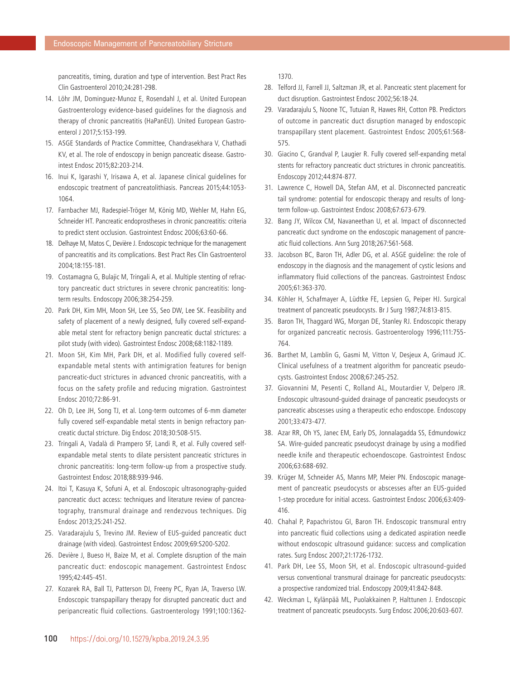pancreatitis, timing, duration and type of intervention. Best Pract Res Clin Gastroenterol 2010;24:281-298.

- 14. Löhr JM, Dominguez-Munoz E, Rosendahl J, et al. United European Gastroenterology evidence-based guidelines for the diagnosis and therapy of chronic pancreatitis (HaPanEU). United European Gastroenterol J 2017;5:153-199.
- 15. ASGE Standards of Practice Committee, Chandrasekhara V, Chathadi KV, et al. The role of endoscopy in benign pancreatic disease. Gastrointest Endosc 2015;82:203-214.
- 16. Inui K, Igarashi Y, Irisawa A, et al. Japanese clinical guidelines for endoscopic treatment of pancreatolithiasis. Pancreas 2015;44:1053- 1064.
- 17. Farnbacher MJ, Radespiel-Tröger M, König MD, Wehler M, Hahn EG, Schneider HT. Pancreatic endoprostheses in chronic pancreatitis: criteria to predict stent occlusion. Gastrointest Endosc 2006;63:60-66.
- 18. Delhaye M, Matos C, Devière J. Endoscopic technique for the management of pancreatitis and its complications. Best Pract Res Clin Gastroenterol 2004;18:155-181.
- 19. Costamagna G, Bulajic M, Tringali A, et al. Multiple stenting of refractory pancreatic duct strictures in severe chronic pancreatitis: longterm results. Endoscopy 2006;38:254-259.
- 20. Park DH, Kim MH, Moon SH, Lee SS, Seo DW, Lee SK. Feasibility and safety of placement of a newly designed, fully covered self-expandable metal stent for refractory benign pancreatic ductal strictures: a pilot study (with video). Gastrointest Endosc 2008;68:1182-1189.
- 21. Moon SH, Kim MH, Park DH, et al. Modified fully covered selfexpandable metal stents with antimigration features for benign pancreatic-duct strictures in advanced chronic pancreatitis, with a focus on the safety profile and reducing migration. Gastrointest Endosc 2010;72:86-91.
- 22. Oh D, Lee JH, Song TJ, et al. Long-term outcomes of 6-mm diameter fully covered self-expandable metal stents in benign refractory pancreatic ductal stricture. Dig Endosc 2018;30:508-515.
- 23. Tringali A, Vadalà di Prampero SF, Landi R, et al. Fully covered selfexpandable metal stents to dilate persistent pancreatic strictures in chronic pancreatitis: long-term follow-up from a prospective study. Gastrointest Endosc 2018;88:939-946.
- 24. Itoi T, Kasuya K, Sofuni A, et al. Endoscopic ultrasonography-guided pancreatic duct access: techniques and literature review of pancreatography, transmural drainage and rendezvous techniques. Dig Endosc 2013;25:241-252.
- 25. Varadarajulu S, Trevino JM. Review of EUS-guided pancreatic duct drainage (with video). Gastrointest Endosc 2009;69:S200-S202.
- 26. Devière J, Bueso H, Baize M, et al. Complete disruption of the main pancreatic duct: endoscopic management. Gastrointest Endosc 1995;42:445-451.
- 27. Kozarek RA, Ball TJ, Patterson DJ, Freeny PC, Ryan JA, Traverso LW. Endoscopic transpapillary therapy for disrupted pancreatic duct and peripancreatic fluid collections. Gastroenterology 1991;100:1362-

1370.

- 28. Telford JJ, Farrell JJ, Saltzman JR, et al. Pancreatic stent placement for duct disruption. Gastrointest Endosc 2002;56:18-24.
- 29. Varadarajulu S, Noone TC, Tutuian R, Hawes RH, Cotton PB. Predictors of outcome in pancreatic duct disruption managed by endoscopic transpapillary stent placement. Gastrointest Endosc 2005;61:568- 575.
- 30. Giacino C, Grandval P, Laugier R. Fully covered self-expanding metal stents for refractory pancreatic duct strictures in chronic pancreatitis. Endoscopy 2012;44:874-877.
- 31. Lawrence C, Howell DA, Stefan AM, et al. Disconnected pancreatic tail syndrome: potential for endoscopic therapy and results of longterm follow-up. Gastrointest Endosc 2008;67:673-679.
- 32. Bang JY, Wilcox CM, Navaneethan U, et al. Impact of disconnected pancreatic duct syndrome on the endoscopic management of pancreatic fluid collections. Ann Surg 2018;267:561-568.
- 33. Jacobson BC, Baron TH, Adler DG, et al. ASGE guideline: the role of endoscopy in the diagnosis and the management of cystic lesions and inflammatory fluid collections of the pancreas. Gastrointest Endosc 2005;61:363-370.
- 34. Köhler H, Schafmayer A, Lüdtke FE, Lepsien G, Peiper HJ. Surgical treatment of pancreatic pseudocysts. Br J Surg 1987;74:813-815.
- 35. Baron TH, Thaggard WG, Morgan DE, Stanley RJ. Endoscopic therapy for organized pancreatic necrosis. Gastroenterology 1996;111:755- 764.
- 36. Barthet M, Lamblin G, Gasmi M, Vitton V, Desjeux A, Grimaud JC. Clinical usefulness of a treatment algorithm for pancreatic pseudocysts. Gastrointest Endosc 2008;67:245-252.
- 37. Giovannini M, Pesenti C, Rolland AL, Moutardier V, Delpero JR. Endoscopic ultrasound-guided drainage of pancreatic pseudocysts or pancreatic abscesses using a therapeutic echo endoscope. Endoscopy 2001;33:473-477.
- 38. Azar RR, Oh YS, Janec EM, Early DS, Jonnalagadda SS, Edmundowicz SA. Wire-guided pancreatic pseudocyst drainage by using a modified needle knife and therapeutic echoendoscope. Gastrointest Endosc 2006;63:688-692.
- 39. Krüger M, Schneider AS, Manns MP, Meier PN. Endoscopic management of pancreatic pseudocysts or abscesses after an EUS-guided 1-step procedure for initial access. Gastrointest Endosc 2006;63:409- 416.
- 40. Chahal P, Papachristou GI, Baron TH. Endoscopic transmural entry into pancreatic fluid collections using a dedicated aspiration needle without endoscopic ultrasound guidance: success and complication rates. Surg Endosc 2007;21:1726-1732.
- 41. Park DH, Lee SS, Moon SH, et al. Endoscopic ultrasound-guided versus conventional transmural drainage for pancreatic pseudocysts: a prospective randomized trial. Endoscopy 2009;41:842-848.
- 42. Weckman L, Kylänpää ML, Puolakkainen P, Halttunen J. Endoscopic treatment of pancreatic pseudocysts. Surg Endosc 2006;20:603-607.